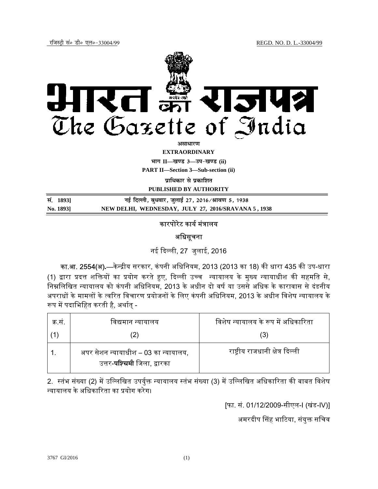

असाधार**ण EXTRAORDINARY**

**Hkkx II—[k.M 3—mi&[k.M (ii)**

**PART II—Section 3—Sub-section (ii)** 

**प्राधिकार से प्रकाशित** 

**PUBLISHED BY AUTHORITY**

| सं. 1893] | नई दिल्ली, बुधवार, जुलाई 27, 2016 ∕ श्रावण 5, 1938  |
|-----------|-----------------------------------------------------|
| No. 1893] | NEW DELHI, WEDNESDAY, JULY 27, 2016/SRAVANA 5, 1938 |

## कारपोरेट कार्य मंत्रालय

# अधिसूचना

नई ᳰद᭨ली, 27 जुलाई, 2016

<mark>का.आ. 2554(अ).</mark>—केन्द्रीय सरकार, कंपनी अधिनियम, 2013 (2013 का 18) की धारा 435 की उप-धारा (1) द्वारा प्रदत्त शक्तियों का प्रयोग करते हुए, दिल्ली उच्च न्यायालय के मुख्य न्यायाधीश की सहमति से, निम्नलिखित न्यायालय को कंपनी अधिनियम, 2013 के अधीन दो वर्ष या उससे अधिक के कारावास से दंडनीय अपराधों के मामलों के त्वरित विचारण प्रयोजनों के लिए कंपनी अधिनियम, 2013 के अधीन विशेष न्यायालय के रूप में पदाभिहित करती है, अर्थात -

| क स. | विद्यमान न्यायालय                                                           | विशेष न्यायालय के रूप में अधिकारिता |
|------|-----------------------------------------------------------------------------|-------------------------------------|
|      |                                                                             | 3)                                  |
|      | अपर सेशन न्यायाधीश – 03 का न्यायालय,<br>उत्तर- <b>पश्चिमी</b> जिला, द्वारका | राष्ट्रीय राजधानी क्षेत्र दिल्ली    |

2. स्तंभ संख्या (2) में उल्लिखित उपर्युक्त न्यायालय स्तंभ संख्या (3) में उल्लिखित अधिकारिता की बाबत विशेष ᭠यायालय के अिधकाᳯरता का ᮧयोग करेग।

[फा. सं. 01/12/2009-सीएल-I (खंड-IV)]

अमरदीप सिंह भाटिया, संयुक्त सचिव